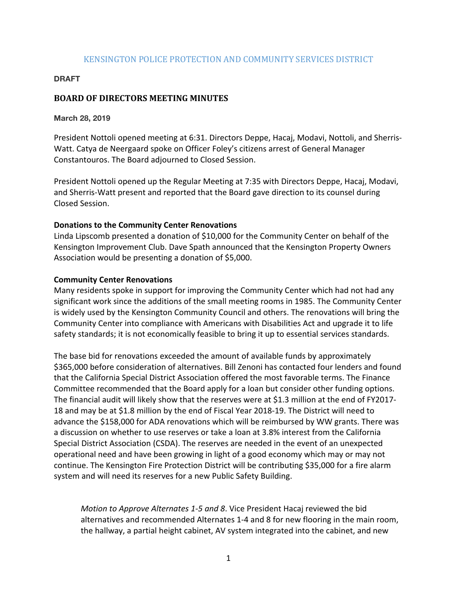## KENSINGTON POLICE PROTECTION AND COMMUNITY SERVICES DISTRICT

#### **DRAFT**

# **BOARD OF DIRECTORS MEETING MINUTES**

**March 28, 2019** 

President Nottoli opened meeting at 6:31. Directors Deppe, Hacaj, Modavi, Nottoli, and Sherris-Watt. Catya de Neergaard spoke on Officer Foley's citizens arrest of General Manager Constantouros. The Board adjourned to Closed Session.

President Nottoli opened up the Regular Meeting at 7:35 with Directors Deppe, Hacaj, Modavi, and Sherris-Watt present and reported that the Board gave direction to its counsel during Closed Session.

### **Donations to the Community Center Renovations**

Linda Lipscomb presented a donation of \$10,000 for the Community Center on behalf of the Kensington Improvement Club. Dave Spath announced that the Kensington Property Owners Association would be presenting a donation of \$5,000.

### **Community Center Renovations**

Many residents spoke in support for improving the Community Center which had not had any significant work since the additions of the small meeting rooms in 1985. The Community Center is widely used by the Kensington Community Council and others. The renovations will bring the Community Center into compliance with Americans with Disabilities Act and upgrade it to life safety standards; it is not economically feasible to bring it up to essential services standards.

The base bid for renovations exceeded the amount of available funds by approximately \$365,000 before consideration of alternatives. Bill Zenoni has contacted four lenders and found that the California Special District Association offered the most favorable terms. The Finance Committee recommended that the Board apply for a loan but consider other funding options. The financial audit will likely show that the reserves were at \$1.3 million at the end of FY2017-18 and may be at \$1.8 million by the end of Fiscal Year 2018-19. The District will need to advance the \$158,000 for ADA renovations which will be reimbursed by WW grants. There was a discussion on whether to use reserves or take a loan at 3.8% interest from the California Special District Association (CSDA). The reserves are needed in the event of an unexpected operational need and have been growing in light of a good economy which may or may not continue. The Kensington Fire Protection District will be contributing \$35,000 for a fire alarm system and will need its reserves for a new Public Safety Building.

*Motion to Approve Alternates 1-5 and 8.* Vice President Hacaj reviewed the bid alternatives and recommended Alternates 1-4 and 8 for new flooring in the main room, the hallway, a partial height cabinet, AV system integrated into the cabinet, and new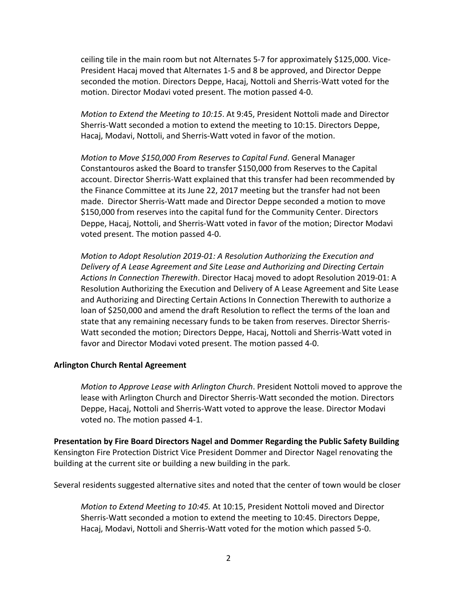ceiling tile in the main room but not Alternates 5-7 for approximately \$125,000. Vice-President Hacaj moved that Alternates 1-5 and 8 be approved, and Director Deppe seconded the motion. Directors Deppe, Hacaj, Nottoli and Sherris-Watt voted for the motion. Director Modavi voted present. The motion passed 4-0.

*Motion to Extend the Meeting to 10:15.* At 9:45, President Nottoli made and Director Sherris-Watt seconded a motion to extend the meeting to 10:15. Directors Deppe, Hacaj, Modavi, Nottoli, and Sherris-Watt voted in favor of the motion.

*Motion to Move \$150,000 From Reserves to Capital Fund.* General Manager Constantouros asked the Board to transfer \$150,000 from Reserves to the Capital account. Director Sherris-Watt explained that this transfer had been recommended by the Finance Committee at its June 22, 2017 meeting but the transfer had not been made. Director Sherris-Watt made and Director Deppe seconded a motion to move \$150,000 from reserves into the capital fund for the Community Center. Directors Deppe, Hacaj, Nottoli, and Sherris-Watt voted in favor of the motion; Director Modavi voted present. The motion passed 4-0.

*Motion to Adopt Resolution 2019-01: A Resolution Authorizing the Execution and Delivery of A Lease Agreement and Site Lease and Authorizing and Directing Certain Actions In Connection Therewith*. Director Hacaj moved to adopt Resolution 2019-01: A Resolution Authorizing the Execution and Delivery of A Lease Agreement and Site Lease and Authorizing and Directing Certain Actions In Connection Therewith to authorize a loan of \$250,000 and amend the draft Resolution to reflect the terms of the loan and state that any remaining necessary funds to be taken from reserves. Director Sherris-Watt seconded the motion; Directors Deppe, Hacaj, Nottoli and Sherris-Watt voted in favor and Director Modavi voted present. The motion passed 4-0.

#### **Arlington Church Rental Agreement**

*Motion to Approve Lease with Arlington Church.* President Nottoli moved to approve the lease with Arlington Church and Director Sherris-Watt seconded the motion. Directors Deppe, Hacaj, Nottoli and Sherris-Watt voted to approve the lease. Director Modavi voted no. The motion passed 4-1.

**Presentation by Fire Board Directors Nagel and Dommer Regarding the Public Safety Building** Kensington Fire Protection District Vice President Dommer and Director Nagel renovating the building at the current site or building a new building in the park.

Several residents suggested alternative sites and noted that the center of town would be closer

*Motion to Extend Meeting to 10:45.* At 10:15, President Nottoli moved and Director Sherris-Watt seconded a motion to extend the meeting to 10:45. Directors Deppe, Hacaj, Modavi, Nottoli and Sherris-Watt voted for the motion which passed 5-0.